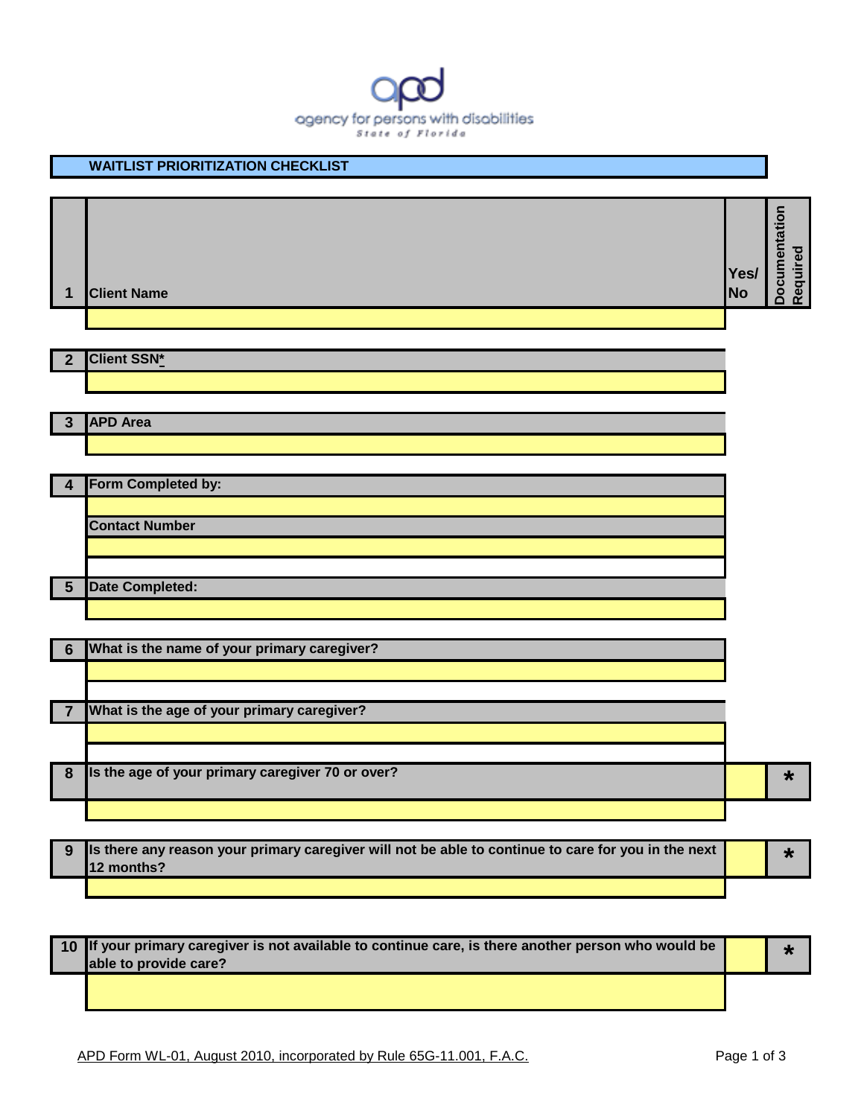

|                  | <b>WAITLIST PRIORITIZATION CHECKLIST</b>         |                   |                           |
|------------------|--------------------------------------------------|-------------------|---------------------------|
|                  |                                                  |                   |                           |
| 1                | <b>Client Name</b>                               | Yes/<br><b>No</b> | Documentation<br>Required |
|                  |                                                  |                   |                           |
| $\overline{2}$   | <b>Client SSN*</b>                               |                   |                           |
|                  |                                                  |                   |                           |
| $\mathbf{3}$     | <b>APD Area</b>                                  |                   |                           |
|                  |                                                  |                   |                           |
|                  |                                                  |                   |                           |
| 4                | Form Completed by:                               |                   |                           |
|                  | <b>Contact Number</b>                            |                   |                           |
|                  |                                                  |                   |                           |
| $5\phantom{1}$   | <b>Date Completed:</b>                           |                   |                           |
|                  |                                                  |                   |                           |
| 6                | What is the name of your primary caregiver?      |                   |                           |
|                  |                                                  |                   |                           |
|                  |                                                  |                   |                           |
| 7                | What is the age of your primary caregiver?       |                   |                           |
|                  |                                                  |                   |                           |
| $\boldsymbol{8}$ | Is the age of your primary caregiver 70 or over? |                   | $\star$                   |
|                  |                                                  |                   |                           |
|                  |                                                  |                   |                           |

| . 9 Ils there any reason your primary caregiver will not be able to continue to care for you in the next<br><b>112 months?</b> |  |  |
|--------------------------------------------------------------------------------------------------------------------------------|--|--|
|                                                                                                                                |  |  |

**10 If your primary caregiver is not available to continue care, is there another person who would be able to provide care? \***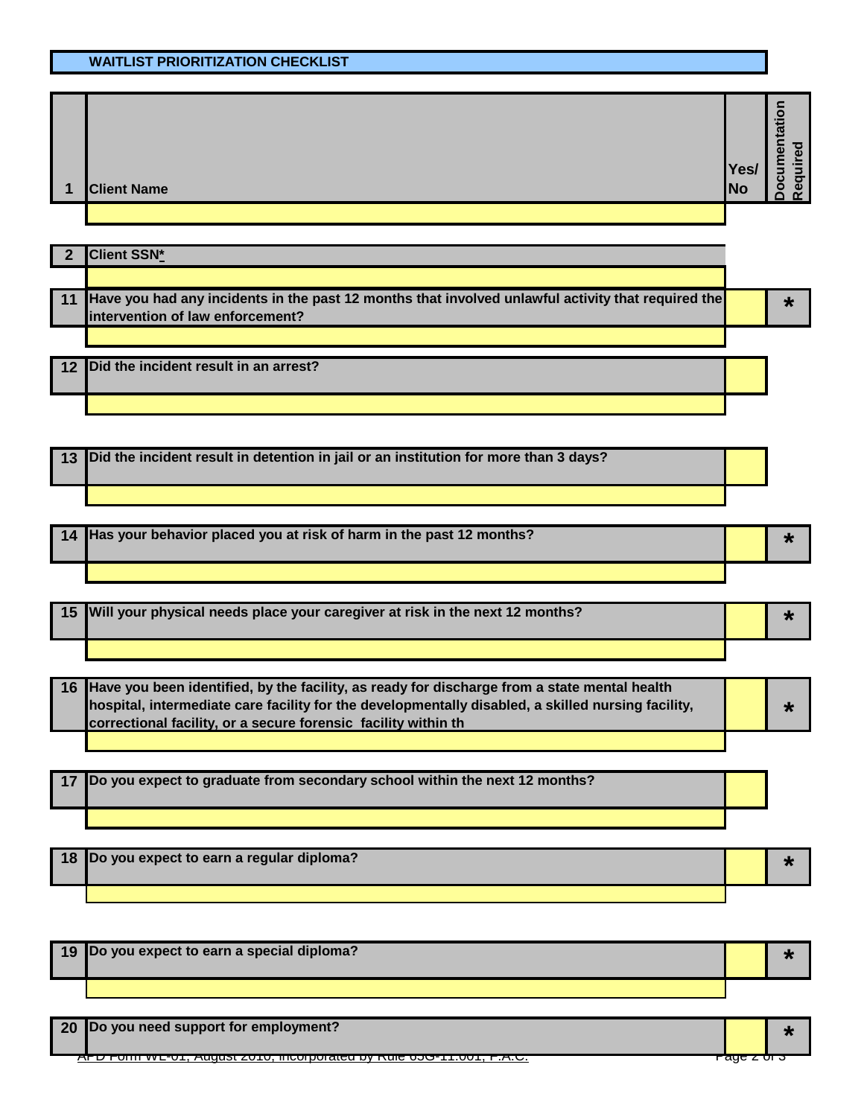## **WAITLIST PRIORITIZATION CHECKLIST**

| $\mathbf 1$ | <b>Client Name</b> | Yes/<br><b>No</b> | $\frac{1}{12}$<br>$\overline{\omega}$<br>ठ<br>$\bar{a}$<br>$\bar{\mathbf{\Phi}}$<br>≔.<br>$\blacksquare$<br>ᄝ<br>75<br><b>Re</b><br>$\bullet$<br>$\Omega$ |
|-------------|--------------------|-------------------|-----------------------------------------------------------------------------------------------------------------------------------------------------------|
|             |                    |                   |                                                                                                                                                           |

| <b>Client SSN*</b>                                                                                                                     |  |
|----------------------------------------------------------------------------------------------------------------------------------------|--|
|                                                                                                                                        |  |
| Have you had any incidents in the past 12 months that involved unlawful activity that required the<br>intervention of law enforcement? |  |
|                                                                                                                                        |  |
| 12 Did the incident result in an arrest?                                                                                               |  |
|                                                                                                                                        |  |

**13 Did the incident result in detention in jail or an institution for more than 3 days?**

**<sup>14</sup> Has your behavior placed you at risk of harm in the past 12 months? \***

| 15 Will your physical needs place your caregiver at risk in the next 12 months? |  |  |
|---------------------------------------------------------------------------------|--|--|
|                                                                                 |  |  |

**16 Have you been identified, by the facility, as ready for discharge from a state mental health hospital, intermediate care facility for the developmentally disabled, a skilled nursing facility, correctional facility, or a secure forensic facility within th \***

**17 Do you expect to graduate from secondary school within the next 12 months?**

| 18 Do you expect to earn a regular diploma? |  |
|---------------------------------------------|--|
|                                             |  |

**<sup>19</sup> Do you expect to earn a special diploma? \***

**<sup>20</sup> Do you need support for employment? \***

 $\overline{\mathcal{A}}$ , בט.ה. די סטר דיסטט סווישן שער איינט אין דיסטט די דיסטי, ד.א. $\overline{\mathcal{A}}$